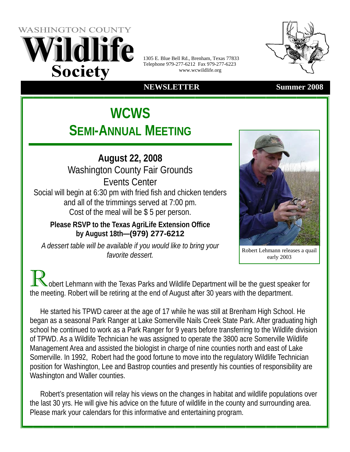**WASHINGTON COUNTY** ildlife **Society** 

1305 E. Blue Bell Rd., Brenham, Texas 77833 Telephone 979-277-6212 Fax 979-277-6223 www.wcwildlife.org

### **NEWSLETTER Summer 2008**

# **WCWS SEMI-ANNUAL MEETING**

**August 22, 2008**  Washington County Fair Grounds Events Center Social will begin at 6:30 pm with fried fish and chicken tenders and all of the trimmings served at 7:00 pm. Cost of the meal will be \$ 5 per person.

**Please RSVP to the Texas AgriLife Extension Office by August 18th—(979) 277-6212** 

*A dessert table will be available if you would like to bring your favorite dessert*<br>*favorite dessert favorite dessert* 

early 2003

obert Lehmann with the Texas Parks and Wildlife Department will be the guest speaker for the meeting. Robert will be retiring at the end of August after 30 years with the department.

 He started his TPWD career at the age of 17 while he was still at Brenham High School. He began as a seasonal Park Ranger at Lake Somerville Nails Creek State Park. After graduating high school he continued to work as a Park Ranger for 9 years before transferring to the Wildlife division of TPWD. As a Wildlife Technician he was assigned to operate the 3800 acre Somerville Wildlife Management Area and assisted the biologist in charge of nine counties north and east of Lake Somerville. In 1992, Robert had the good fortune to move into the regulatory Wildlife Technician position for Washington, Lee and Bastrop counties and presently his counties of responsibility are Washington and Waller counties.

 Robert's presentation will relay his views on the changes in habitat and wildlife populations over the last 30 yrs. He will give his advice on the future of wildlife in the county and surrounding area. Please mark your calendars for this informative and entertaining program.





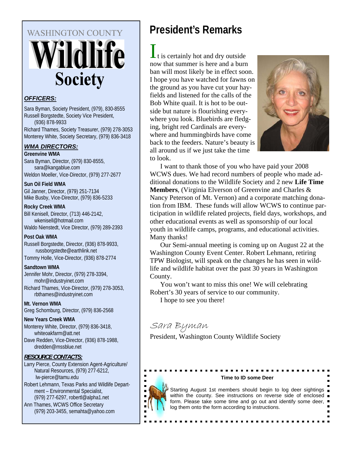# **WASHINGTON COUNTY** Vildlife **Society**

#### *OFFICERS:*

Sara Byman, Society President, (979), 830-8555 Russell Borgstedte, Society Vice President, (936) 878-9933 Richard Thames, Society Treasurer, (979) 278-3053 Monterey White, Society Secretary, (979) 836-3418

#### *WMA DIRECTORS:*

**Greenvine WMA**  Sara Byman, Director, (979) 830-8555, sara@kangablue.com Weldon Moeller, Vice-Director, (979) 277-2677

**Sun Oil Field WMA**  Gil Janner, Director, (979) 251-7134 Mike Busby, Vice-Director, (979) 836-5233

#### **Rocky Creek WMA**

Bill Kenisell, Director, (713) 446-2142, wkenisell@hotmail.com Waldo Nienstedt, Vice Director, (979) 289-2393

#### **Post Oak WMA**

Russell Borgstedte, Director, (936) 878-9933, russborgstedte@earthlink.net Tommy Holle, Vice-Director, (936) 878-2774

#### **Sandtown WMA**

Jennifer Mohr, Director, (979) 278-3394, mohr@industryinet.com Richard Thames, Vice-Director, (979) 278-3053, rbthames@industryinet.com

**Mt. Vernon WMA**  Greg Schomburg, Director, (979) 836-2568

#### **New Years Creek WMA**

Monterey White, Director, (979) 836-3418, whiteoakfarm@att.net Dave Redden, Vice-Director, (936) 878-1988,

dredden@mssblue.net

#### *RESOURCE CONTACTS:*

Larry Pierce, County Extension Agent-Agriculture/ Natural Resources, (979) 277-6212, lw-pierce@tamu.edu

Robert Lehmann, Texas Parks and Wildlife Department – Environmental Specialist, (979) 277-6297, robertl@alpha1.net

Ann Thames, WCWS Office Secretary (979) 203-3455, semahta@yahoo.com

# **President's Remarks**

is certainly hot and dry outside now that summer is here and a burn ban will most likely be in effect soon. I hope you have watched for fawns on the ground as you have cut your hayfields and listened for the calls of the Bob White quail. It is hot to be outside but nature is flourishing everywhere you look. Bluebirds are fledging, bright red Cardinals are everywhere and hummingbirds have come back to the feeders. Nature's beauty is all around us if we just take the time to look.



 I want to thank those of you who have paid your 2008 WCWS dues. We had record numbers of people who made additional donations to the Wildlife Society and 2 new **Life Time Members**, (Virginia Elverson of Greenvine and Charles & Nancy Peterson of Mt. Vernon) and a corporate matching donation from IBM. These funds will allow WCWS to continue participation in wildlife related projects, field days, workshops, and other educational events as well as sponsorship of our local youth in wildlife camps, programs, and educational activities. Many thanks!

 Our Semi-annual meeting is coming up on August 22 at the Washington County Event Center. Robert Lehmann, retiring TPW Biologist, will speak on the changes he has seen in wildlife and wildlife habitat over the past 30 years in Washington County.

 You won't want to miss this one! We will celebrating Robert's 30 years of service to our community. I hope to see you there!

# Sara Byman

President, Washington County Wildlife Society



#### **Time to ID some Deer**

Starting August 1st members should begin to log deer sightings within the county. See instructions on reverse side of enclosed  $\blacksquare$ form. Please take some time and go out and identify some deer, log them onto the form according to instructions.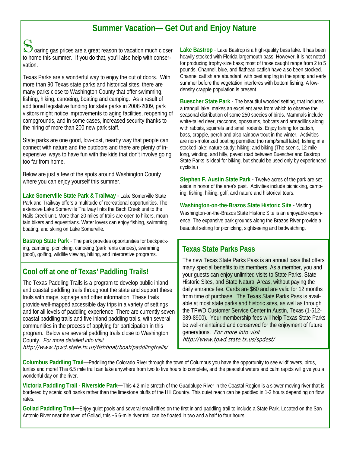## **Summer Vacation— Get Out and Enjoy Nature**

Soaring gas prices are a great reason to vacation much closer to home this summer. If you do that, you'll also help with conservation.

Texas Parks are a wonderful way to enjoy the out of doors. With more than 90 Texas state parks and historical sites, there are many parks close to Washington County that offer swimming, fishing, hiking, canoeing, boating and camping. As a result of additional legislative funding for state parks in 2008-2009, park visitors might notice improvements to aging facilities, reopening of campgrounds, and in some cases, increased security thanks to the hiring of more than 200 new park staff.

State parks are one good, low-cost, nearby way that people can connect with nature and the outdoors and there are plenty of inexpensive ways to have fun with the kids that don't involve going too far from home.

Below are just a few of the spots around Washington County where you can enjoy yourself this summer.

**Lake Somerville State Park & Trailway** - Lake Somerville State Park and Trailway offers a multitude of recreational opportunities. The extensive Lake Somerville Trailway links the Birch Creek unit to the Nails Creek unit. More than 20 miles of trails are open to hikers, mountain bikers and equestrians. Water lovers can enjoy fishing, swimming, boating, and skiing on Lake Somerville.

**Bastrop State Park** - The park provides opportunities for backpacking, camping, picnicking, canoeing (park rents canoes), swimming (pool), golfing, wildlife viewing, hiking, and interpretive programs.

### **Cool off at one of Texas' Paddling Trails!**

The Texas Paddling Trails is a program to develop public inland and coastal paddling trails throughout the state and support these trails with maps, signage and other information. These trails provide well-mapped accessible day trips in a variety of settings and for all levels of paddling experience. There are currently seven coastal paddling trails and five inland paddling trails, with several communities in the process of applying for participation in this program. Below are several paddling trails close to Washington County. *For more detailed info visit* 

http://www.tpwd.state.tx.us/fishboat/boat/paddlingtrails/

**Lake Bastrop** - Lake Bastrop is a high-quality bass lake. It has been heavily stocked with Florida largemouth bass. However, it is not noted for producing trophy-size bass; most of those caught range from 2 to 5 pounds. Channel, blue, and flathead catfish have also been stocked. Channel catfish are abundant, with best angling in the spring and early summer before the vegetation interferes with bottom fishing. A lowdensity crappie population is present.

**Buescher State Park** - The beautiful wooded setting, that includes a tranquil lake, makes an excellent area from which to observe the seasonal distribution of some 250 species of birds. Mammals include white-tailed deer, raccoons, opossums, bobcats and armadillos along with rabbits, squirrels and small rodents. Enjoy fishing for catfish, bass, crappie, perch and also rainbow trout in the winter. Activities are non-motorized boating permitted (no ramp/small lake); fishing in a stocked lake; nature study; hiking; and biking (The scenic, 12-milelong, winding, and hilly, paved road between Buescher and Bastrop State Parks is ideal for biking, but should be used only by experienced cyclists.)

**Stephen F. Austin State Park** - Twelve acres of the park are set aside in honor of the area's past. Activities include picnicking, camping, fishing, hiking, golf, and nature and historical tours.

**Washington-on-the-Brazos State Historic Site** - Visiting Washington-on-the-Brazos State Historic Site is an enjoyable experience. The expansive park grounds along the Brazos River provide a beautiful setting for picnicking, sightseeing and birdwatching.

#### **Texas State Parks Pass**

The new Texas State Parks Pass is an annual pass that offers many special benefits to its members. As a member, you and your guests can enjoy unlimited visits to State Parks, State Historic Sites, and State Natural Areas, without paying the daily entrance fee. Cards are \$60 and are valid for 12 months from time of purchase. The Texas State Parks Pass is available at most state parks and historic sites, as well as through the TPWD Customer Service Center in Austin, Texas (1-512- 389-8900). Your membership fees will help Texas State Parks be well-maintained and conserved for the enjoyment of future generations. For more info visit http://www.tpwd.state.tx.us/spdest/

**Columbus Paddling Trail**—Paddling the Colorado River through the town of Columbus you have the opportunity to see wildflowers, birds, turtles and more! This 6.5 mile trail can take anywhere from two to five hours to complete, and the peaceful waters and calm rapids will give you a wonderful day on the river.

**Victoria Paddling Trail - Riverside Park—**This 4.2 mile stretch of the Guadalupe River in the Coastal Region is a slower moving river that is bordered by scenic soft banks rather than the limestone bluffs of the Hill Country. This quiet reach can be paddled in 1-3 hours depending on flow rates.

**Goliad Paddling Trail—**Enjoy quiet pools and several small riffles on the first inland paddling trail to include a State Park. Located on the San Antonio River near the town of Goliad, this ~6.6-mile river trail can be floated in two and a half to four hours.